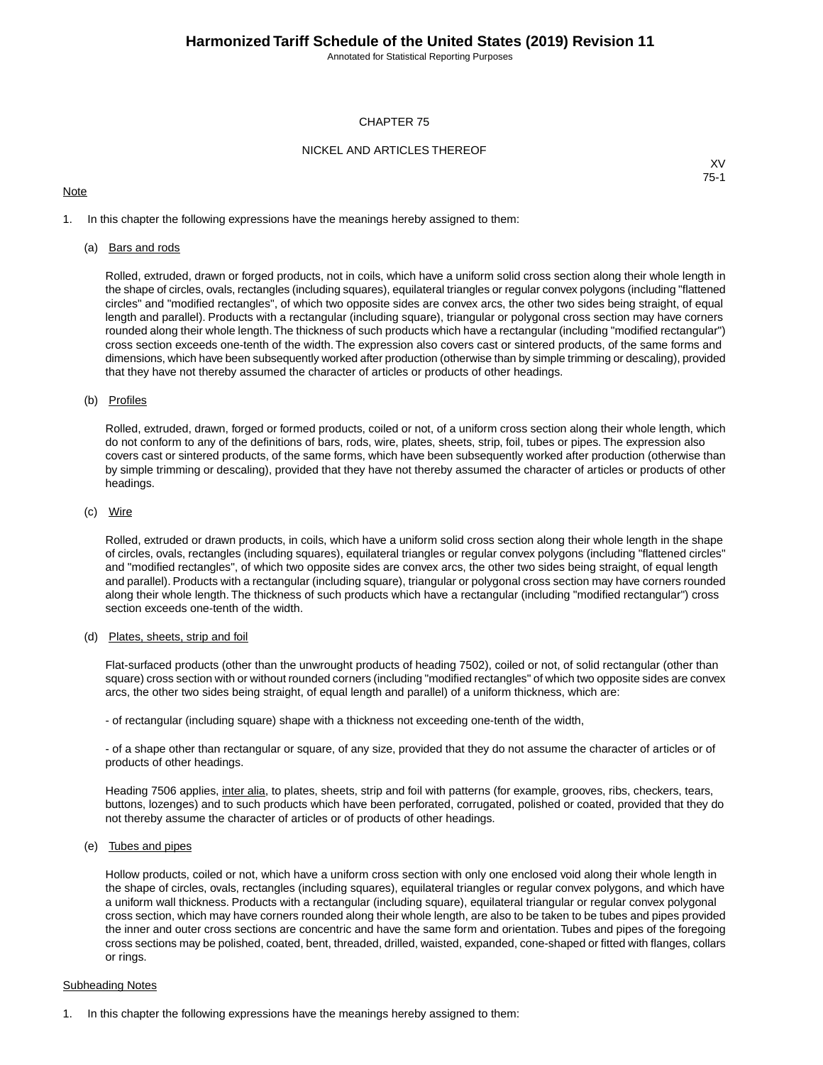Annotated for Statistical Reporting Purposes

#### CHAPTER 75

#### NICKEL AND ARTICLES THEREOF

#### **Note**

XV 75-1

1. In this chapter the following expressions have the meanings hereby assigned to them:

#### (a) Bars and rods

Rolled, extruded, drawn or forged products, not in coils, which have a uniform solid cross section along their whole length in the shape of circles, ovals, rectangles (including squares), equilateral triangles or regular convex polygons (including "flattened circles" and "modified rectangles", of which two opposite sides are convex arcs, the other two sides being straight, of equal length and parallel). Products with a rectangular (including square), triangular or polygonal cross section may have corners rounded along their whole length.The thickness of such products which have a rectangular (including "modified rectangular") cross section exceeds one-tenth of the width. The expression also covers cast or sintered products, of the same forms and dimensions, which have been subsequently worked after production (otherwise than by simple trimming or descaling), provided that they have not thereby assumed the character of articles or products of other headings.

#### (b) Profiles

Rolled, extruded, drawn, forged or formed products, coiled or not, of a uniform cross section along their whole length, which do not conform to any of the definitions of bars, rods, wire, plates, sheets, strip, foil, tubes or pipes. The expression also covers cast or sintered products, of the same forms, which have been subsequently worked after production (otherwise than by simple trimming or descaling), provided that they have not thereby assumed the character of articles or products of other headings.

#### (c) Wire

Rolled, extruded or drawn products, in coils, which have a uniform solid cross section along their whole length in the shape of circles, ovals, rectangles (including squares), equilateral triangles or regular convex polygons (including "flattened circles" and "modified rectangles", of which two opposite sides are convex arcs, the other two sides being straight, of equal length and parallel). Products with a rectangular (including square), triangular or polygonal cross section may have corners rounded along their whole length. The thickness of such products which have a rectangular (including "modified rectangular") cross section exceeds one-tenth of the width.

### (d) Plates, sheets, strip and foil

Flat-surfaced products (other than the unwrought products of heading 7502), coiled or not, of solid rectangular (other than square) cross section with or without rounded corners (including "modified rectangles" of which two opposite sides are convex arcs, the other two sides being straight, of equal length and parallel) of a uniform thickness, which are:

- of rectangular (including square) shape with a thickness not exceeding one-tenth of the width,

- of a shape other than rectangular or square, of any size, provided that they do not assume the character of articles or of products of other headings.

Heading 7506 applies, inter alia, to plates, sheets, strip and foil with patterns (for example, grooves, ribs, checkers, tears, buttons, lozenges) and to such products which have been perforated, corrugated, polished or coated, provided that they do not thereby assume the character of articles or of products of other headings.

#### (e) Tubes and pipes

Hollow products, coiled or not, which have a uniform cross section with only one enclosed void along their whole length in the shape of circles, ovals, rectangles (including squares), equilateral triangles or regular convex polygons, and which have a uniform wall thickness. Products with a rectangular (including square), equilateral triangular or regular convex polygonal cross section, which may have corners rounded along their whole length, are also to be taken to be tubes and pipes provided the inner and outer cross sections are concentric and have the same form and orientation. Tubes and pipes of the foregoing cross sections may be polished, coated, bent, threaded, drilled, waisted, expanded, cone-shaped or fitted with flanges, collars or rings.

#### Subheading Notes

1. In this chapter the following expressions have the meanings hereby assigned to them: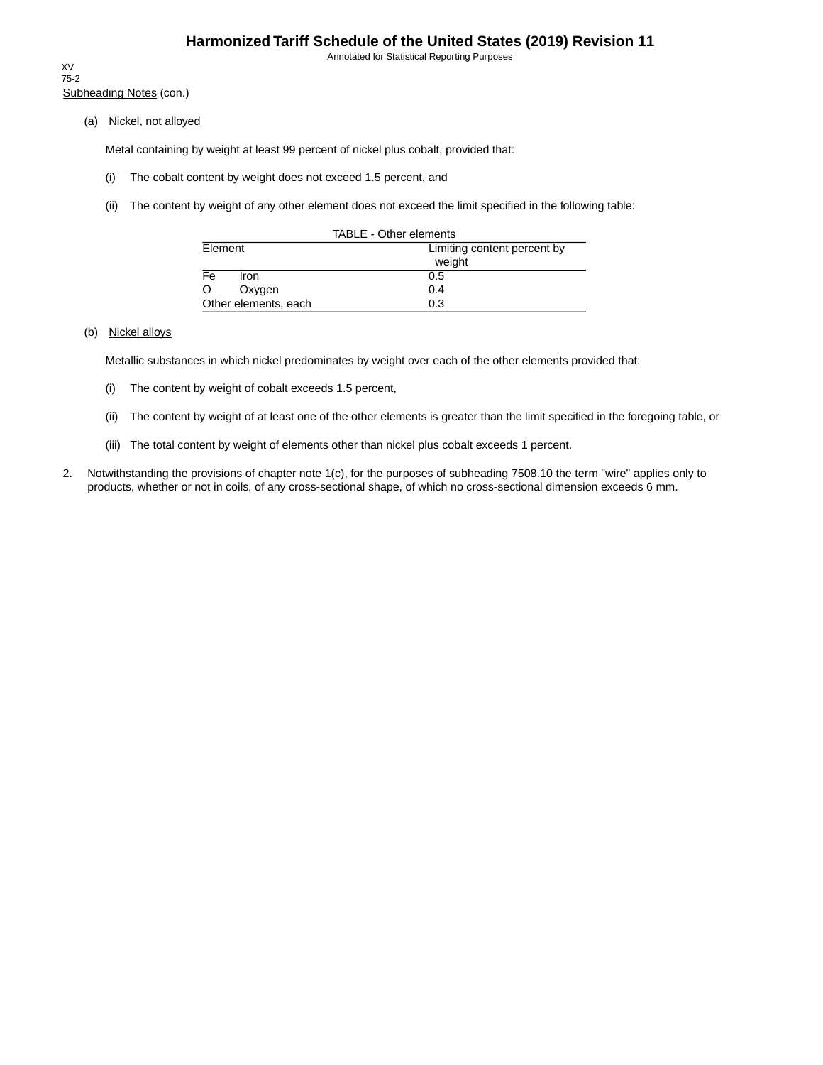Annotated for Statistical Reporting Purposes

Subheading Notes (con.) XV 75-2

(a) Nickel, not alloyed

Metal containing by weight at least 99 percent of nickel plus cobalt, provided that:

- (i) The cobalt content by weight does not exceed 1.5 percent, and
- (ii) The content by weight of any other element does not exceed the limit specified in the following table:

| TABLE - Other elements           |                             |  |  |  |  |  |
|----------------------------------|-----------------------------|--|--|--|--|--|
| Element                          | Limiting content percent by |  |  |  |  |  |
|                                  | weight                      |  |  |  |  |  |
| $\overline{\mathsf{Fe}}$<br>Iron | 0.5                         |  |  |  |  |  |
| O<br>Oxygen                      | 0.4                         |  |  |  |  |  |
| Other elements, each             | 0.3                         |  |  |  |  |  |

### (b) Nickel alloys

Metallic substances in which nickel predominates by weight over each of the other elements provided that:

- (i) The content by weight of cobalt exceeds 1.5 percent,
- (ii) The content by weight of at least one of the other elements is greater than the limit specified in the foregoing table, or
- (iii) The total content by weight of elements other than nickel plus cobalt exceeds 1 percent.
- 2. Notwithstanding the provisions of chapter note 1(c), for the purposes of subheading 7508.10 the term "wire" applies only to products, whether or not in coils, of any cross-sectional shape, of which no cross-sectional dimension exceeds 6 mm.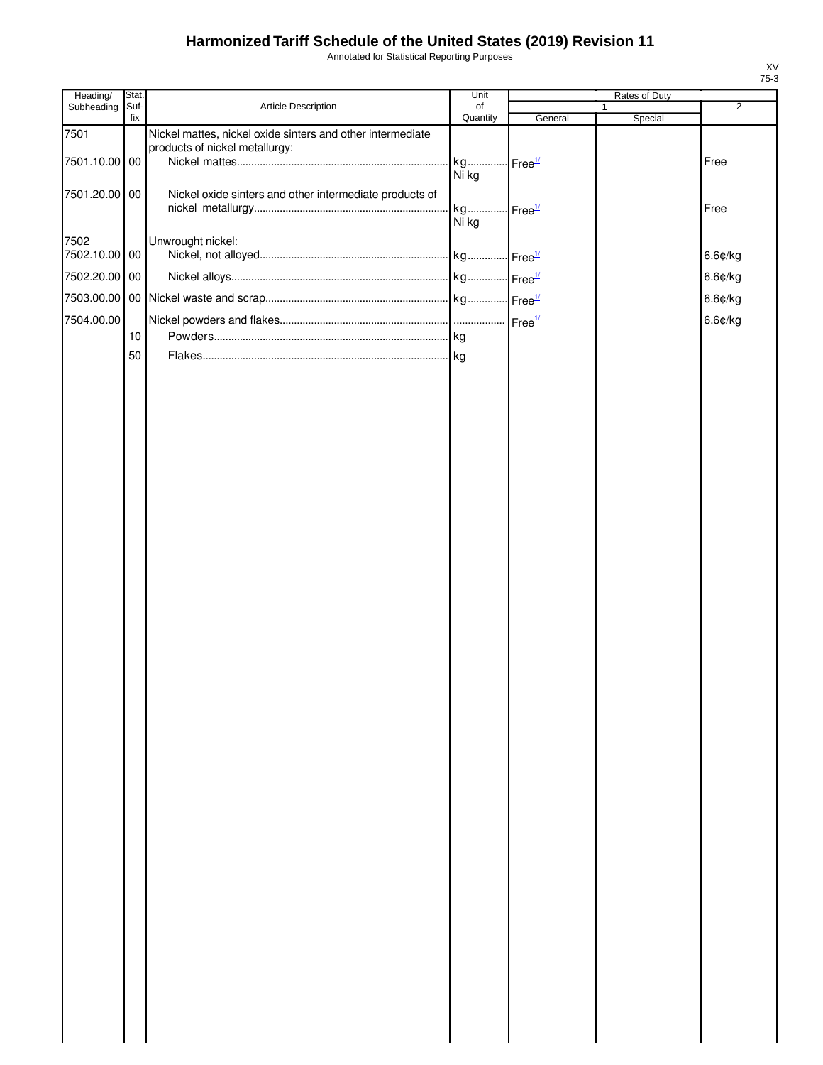Annotated for Statistical Reporting Purposes

| Heading/      | Stat.       |                                                            | Unit           |                            | Rates of Duty |                |
|---------------|-------------|------------------------------------------------------------|----------------|----------------------------|---------------|----------------|
| Subheading    | Suf-<br>fix | Article Description                                        | of<br>Quantity | General                    | Special       | $\overline{2}$ |
| 7501          |             | Nickel mattes, nickel oxide sinters and other intermediate |                |                            |               |                |
|               |             | products of nickel metallurgy:                             |                |                            |               |                |
| 7501.10.00 00 |             |                                                            | kg<br>Ni kg    | $\cdot$ Free $\frac{1}{2}$ |               | Free           |
|               |             |                                                            |                |                            |               |                |
| 7501.20.00 00 |             | Nickel oxide sinters and other intermediate products of    | kg             | $\cdot$ Free $\frac{1}{2}$ |               | Free           |
|               |             |                                                            | Ni kg          |                            |               |                |
| 7502          |             | Unwrought nickel:                                          |                |                            |               |                |
| 7502.10.00 00 |             |                                                            |                |                            |               | 6.6¢/kg        |
| 7502.20.00 00 |             |                                                            |                |                            |               | 6.6¢/kg        |
| 7503.00.00    |             |                                                            |                |                            |               | 6.6¢/kg        |
| 7504.00.00    |             |                                                            |                |                            |               | 6.6¢/kg        |
|               | 10          |                                                            |                |                            |               |                |
|               | 50          |                                                            |                |                            |               |                |
|               |             |                                                            |                |                            |               |                |
|               |             |                                                            |                |                            |               |                |
|               |             |                                                            |                |                            |               |                |
|               |             |                                                            |                |                            |               |                |
|               |             |                                                            |                |                            |               |                |
|               |             |                                                            |                |                            |               |                |
|               |             |                                                            |                |                            |               |                |
|               |             |                                                            |                |                            |               |                |
|               |             |                                                            |                |                            |               |                |
|               |             |                                                            |                |                            |               |                |
|               |             |                                                            |                |                            |               |                |
|               |             |                                                            |                |                            |               |                |
|               |             |                                                            |                |                            |               |                |
|               |             |                                                            |                |                            |               |                |
|               |             |                                                            |                |                            |               |                |
|               |             |                                                            |                |                            |               |                |
|               |             |                                                            |                |                            |               |                |
|               |             |                                                            |                |                            |               |                |
|               |             |                                                            |                |                            |               |                |
|               |             |                                                            |                |                            |               |                |
|               |             |                                                            |                |                            |               |                |
|               |             |                                                            |                |                            |               |                |
|               |             |                                                            |                |                            |               |                |
|               |             |                                                            |                |                            |               |                |
|               |             |                                                            |                |                            |               |                |
|               |             |                                                            |                |                            |               |                |
|               |             |                                                            |                |                            |               |                |
|               |             |                                                            |                |                            |               |                |
|               |             |                                                            |                |                            |               |                |
|               |             |                                                            |                |                            |               |                |
|               |             |                                                            |                |                            |               |                |
|               |             |                                                            |                |                            |               |                |
|               |             |                                                            |                |                            |               |                |
|               |             |                                                            |                |                            |               |                |
|               |             |                                                            |                |                            |               |                |
|               |             |                                                            |                |                            |               |                |
|               |             |                                                            |                |                            |               |                |
|               |             |                                                            |                |                            |               |                |
|               |             |                                                            |                |                            |               |                |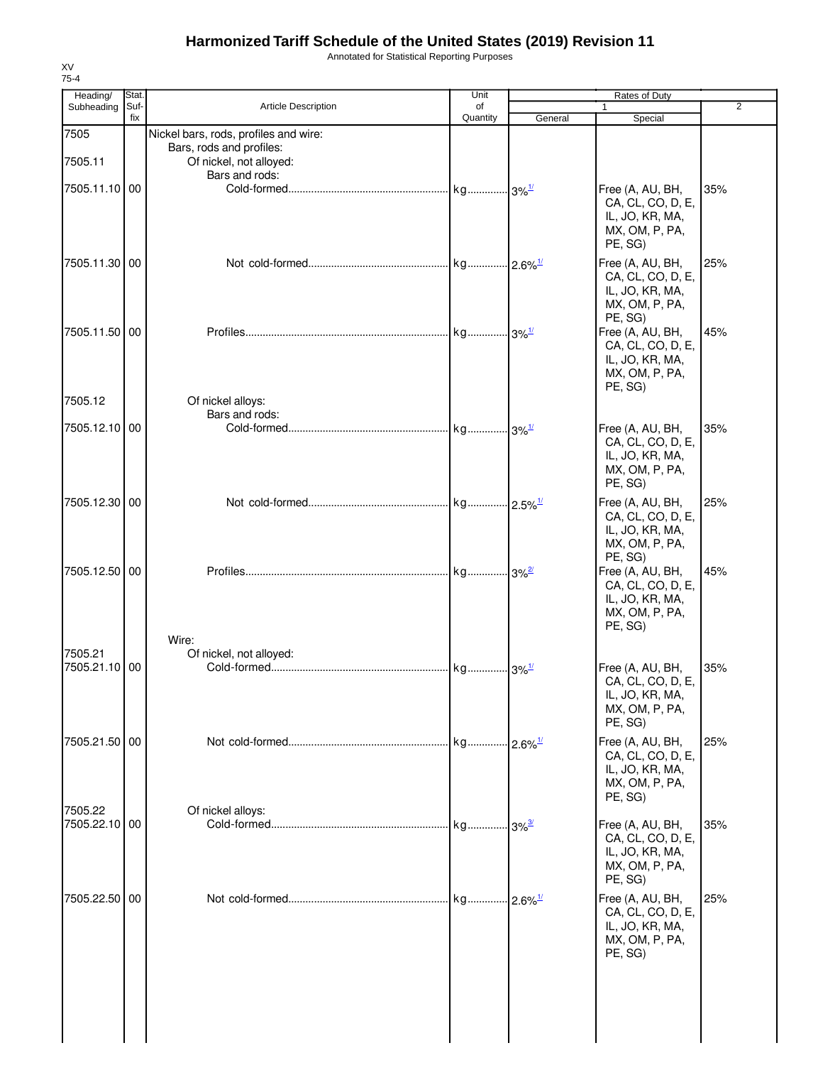Annotated for Statistical Reporting Purposes

| Heading/      | Stat.       |                                       | Unit                |                        |                                       |                |
|---------------|-------------|---------------------------------------|---------------------|------------------------|---------------------------------------|----------------|
| Subheading    | Suf-<br>fix | <b>Article Description</b>            | of<br>Quantity      | General                | Special                               | $\overline{2}$ |
| 7505          |             | Nickel bars, rods, profiles and wire: |                     |                        |                                       |                |
|               |             | Bars, rods and profiles:              |                     |                        |                                       |                |
| 7505.11       |             | Of nickel, not alloyed:               |                     |                        |                                       |                |
|               |             | Bars and rods:                        |                     |                        |                                       | 35%            |
| 7505.11.10 00 |             |                                       |                     |                        | Free (A, AU, BH,<br>CA, CL, CO, D, E, |                |
|               |             |                                       |                     |                        | IL, JO, KR, MA,                       |                |
|               |             |                                       |                     |                        | MX, OM, P, PA,                        |                |
|               |             |                                       |                     |                        | PE, SG)                               |                |
| 7505.11.30 00 |             |                                       |                     |                        | Free (A, AU, BH,                      | 25%            |
|               |             |                                       |                     |                        | CA, CL, CO, D, E,<br>IL, JO, KR, MA,  |                |
|               |             |                                       |                     |                        | MX, OM, P, PA,                        |                |
|               |             |                                       |                     |                        | PE, SG)                               |                |
| 7505.11.50 00 |             |                                       |                     |                        | Free (A, AU, BH,                      | 45%            |
|               |             |                                       |                     |                        | CA, CL, CO, D, E,<br>IL, JO, KR, MA,  |                |
|               |             |                                       |                     |                        | MX, OM, P, PA,                        |                |
|               |             |                                       |                     |                        | PE, SG)                               |                |
| 7505.12       |             | Of nickel alloys:                     |                     |                        |                                       |                |
| 7505.12.10    | 00          | Bars and rods:                        |                     |                        | Free (A, AU, BH,                      | 35%            |
|               |             |                                       |                     |                        | CA, CL, CO, D, E,                     |                |
|               |             |                                       |                     |                        | IL, JO, KR, MA,                       |                |
|               |             |                                       |                     |                        | MX, OM, P, PA,                        |                |
|               |             |                                       |                     |                        | PE, SG)                               |                |
| 7505.12.30 00 |             |                                       |                     |                        | Free (A, AU, BH,<br>CA, CL, CO, D, E, | 25%            |
|               |             |                                       |                     |                        | IL, JO, KR, MA,                       |                |
|               |             |                                       |                     |                        | MX, OM, P, PA,                        |                |
|               |             |                                       |                     |                        | PE, SG)                               |                |
| 7505.12.50 00 |             |                                       |                     |                        | Free (A, AU, BH,<br>CA, CL, CO, D, E, | 45%            |
|               |             |                                       |                     |                        | IL, JO, KR, MA,                       |                |
|               |             |                                       |                     |                        | MX, OM, P, PA,                        |                |
|               |             |                                       |                     |                        | PE, SG)                               |                |
| 7505.21       |             | Wire:<br>Of nickel, not alloyed:      |                     |                        |                                       |                |
| 7505.21.10    | 00          |                                       |                     |                        | Free (A, AU, BH,                      | 35%            |
|               |             |                                       |                     |                        | CA, CL, CO, D, E,                     |                |
|               |             |                                       |                     |                        | IL, JO, KR, MA,                       |                |
|               |             |                                       |                     |                        | MX, OM, P, PA,<br>PE, SG)             |                |
| 7505.21.50 00 |             |                                       |                     | $-2.6\%$ <sup>1/</sup> | Free (A, AU, BH,                      | 25%            |
|               |             |                                       |                     |                        | CA, CL, CO, D, E,                     |                |
|               |             |                                       |                     |                        | IL, JO, KR, MA,                       |                |
|               |             |                                       |                     |                        | MX, OM, P, PA,                        |                |
| 7505.22       |             | Of nickel alloys:                     |                     |                        | PE, SG)                               |                |
| 7505.22.10 00 |             |                                       | kg 3% <sup>3/</sup> |                        | Free (A, AU, BH,                      | 35%            |
|               |             |                                       |                     |                        | CA, CL, CO, D, E,                     |                |
|               |             |                                       |                     |                        | IL, JO, KR, MA,<br>MX, OM, P, PA,     |                |
|               |             |                                       |                     |                        | PE, SG)                               |                |
| 7505.22.50 00 |             |                                       |                     | $.12.6\%$              | Free (A, AU, BH,                      | 25%            |
|               |             |                                       |                     |                        | CA, CL, CO, D, E,                     |                |
|               |             |                                       |                     |                        | IL, JO, KR, MA,                       |                |
|               |             |                                       |                     |                        | MX, OM, P, PA,                        |                |
|               |             |                                       |                     |                        | PE, SG)                               |                |
|               |             |                                       |                     |                        |                                       |                |
|               |             |                                       |                     |                        |                                       |                |
|               |             |                                       |                     |                        |                                       |                |
|               |             |                                       |                     |                        |                                       |                |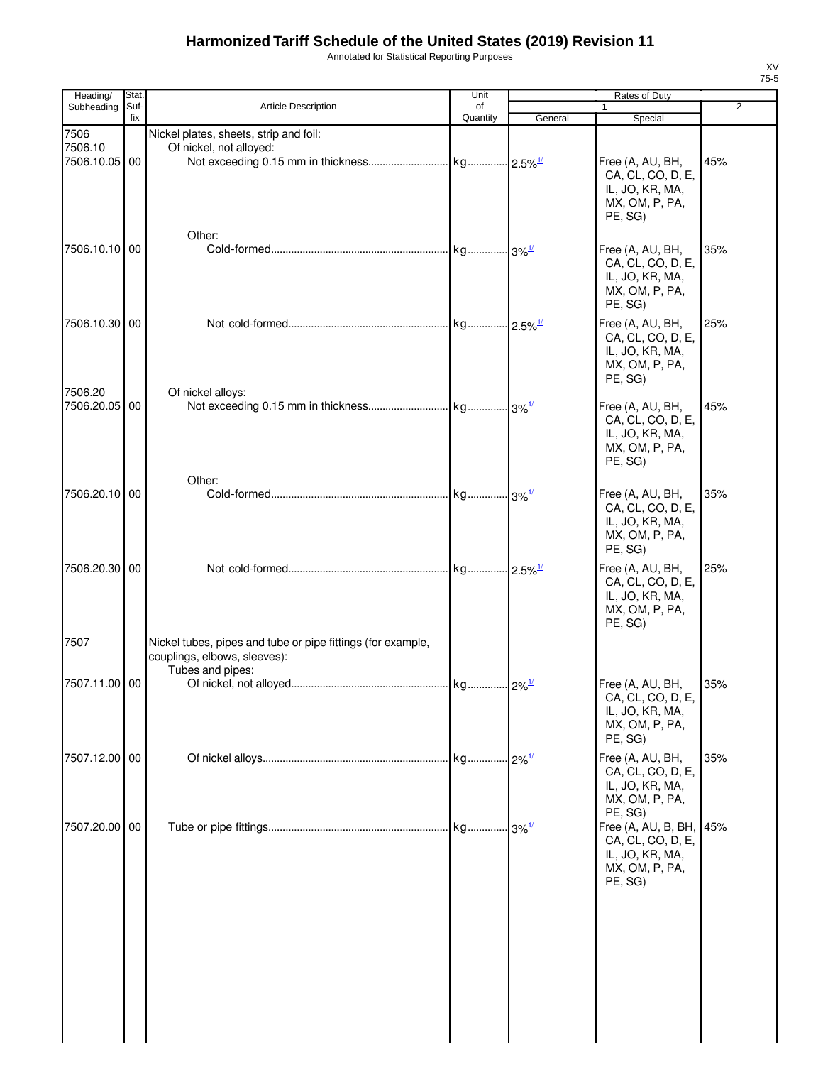Annotated for Statistical Reporting Purposes

| Heading/                      | <b>Stat</b> |                                                                   | Unit           |         | Rates of Duty                                                                                           |                |
|-------------------------------|-------------|-------------------------------------------------------------------|----------------|---------|---------------------------------------------------------------------------------------------------------|----------------|
| Subheading                    | Suf-<br>fix | <b>Article Description</b>                                        | of<br>Quantity | General | $\mathbf{1}$<br>Special                                                                                 | $\overline{2}$ |
| 7506<br>7506.10<br>7506.10.05 | 00          | Nickel plates, sheets, strip and foil:<br>Of nickel, not alloyed: |                |         | Free (A, AU, BH,<br>CA, CL, CO, D, E,<br>IL, JO, KR, MA,<br>MX, OM, P, PA,<br>PE, SG)                   | 45%            |
| 7506.10.10 00                 |             | Other:                                                            |                |         | Free (A, AU, BH,<br>CA, CL, CO, D, E,<br>IL, JO, KR, MA,<br>MX, OM, P, PA,<br>PE, SG)                   | 35%            |
| 7506.10.30 00                 |             |                                                                   |                |         | Free (A, AU, BH,<br>CA, CL, CO, D, E,<br>IL, JO, KR, MA,<br>MX, OM, P, PA,<br>PE, SG)                   | 25%            |
| 7506.20<br>7506.20.05         | 00          | Of nickel alloys:                                                 |                |         | Free (A, AU, BH,<br>CA, CL, CO, D, E,<br>IL, JO, KR, MA,<br>MX, OM, P, PA,<br>PE, SG)                   | 45%            |
| 7506.20.10 00                 |             | Other:                                                            |                |         | Free (A, AU, BH,<br>CA, CL, CO, D, E,<br>IL, JO, KR, MA,<br>MX, OM, P, PA,<br>PE, SG)                   | 35%            |
| 7506.20.30 00<br>7507         |             | Nickel tubes, pipes and tube or pipe fittings (for example,       |                |         | Free (A, AU, BH,<br>CA, CL, CO, D, E,<br>IL, JO, KR, MA,<br>MX, OM, P, PA,<br>PE, SG)                   | 25%            |
| 7507.11.00 00                 |             | couplings, elbows, sleeves):<br>Tubes and pipes:                  |                |         | Free (A, AU, BH,<br>CA, CL, CO, D, E,<br>IL, JO, KR, MA,                                                | 35%            |
| 7507.12.00 00                 |             |                                                                   |                |         | MX, OM, P, PA,<br>PE, SG)<br>Free (A, AU, BH,<br>CA, CL, CO, D, E,<br>IL, JO, KR, MA,<br>MX, OM, P, PA, | 35%            |
| 7507.20.00 00                 |             |                                                                   |                |         | PE, SG)<br>Free (A, AU, B, BH, 45%<br>CA, CL, CO, D, E,<br>IL, JO, KR, MA,<br>MX, OM, P, PA,<br>PE, SG) |                |
|                               |             |                                                                   |                |         |                                                                                                         |                |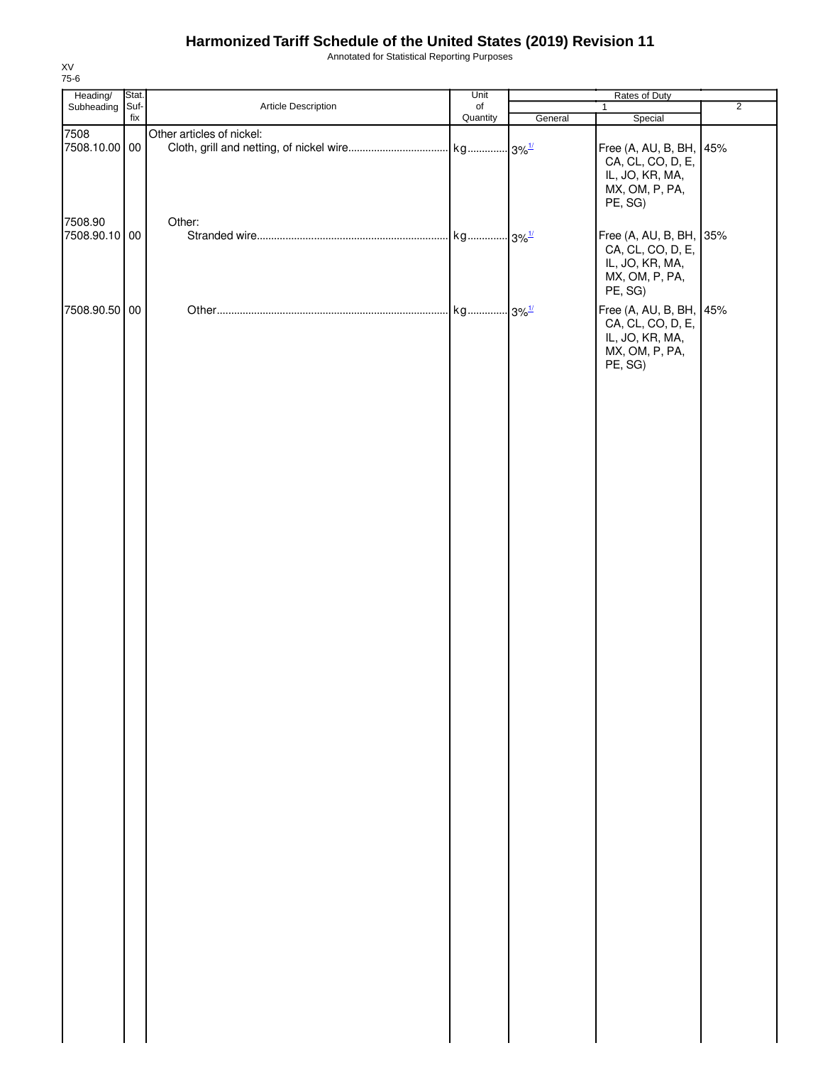Annotated for Statistical Reporting Purposes

| Heading/                 | Stat.       |                           | Unit           | Rates of Duty |                                                                                              |                |
|--------------------------|-------------|---------------------------|----------------|---------------|----------------------------------------------------------------------------------------------|----------------|
| Subheading               | Suf-<br>fix | Article Description       | of<br>Quantity | General       | $\mathbf{1}$<br>Special                                                                      | $\overline{2}$ |
| 7508<br>7508.10.00 00    |             | Other articles of nickel: |                |               | Free (A, AU, B, BH,<br>CA, CL, CO, D, E,<br>IL, JO, KR, MA,<br>MX, OM, P, PA,<br>PE, SG)     | 45%            |
| 7508.90<br>7508.90.10 00 |             | Other:                    |                |               | Free (A, AU, B, BH, 35%<br>CA, CL, CO, D, E,<br>IL, JO, KR, MA,<br>MX, OM, P, PA,<br>PE, SG) |                |
| 7508.90.50 00            |             |                           |                |               | Free (A, AU, B, BH, 45%<br>CA, CL, CO, D, E,<br>IL, JO, KR, MA,<br>MX, OM, P, PA,<br>PE, SG) |                |